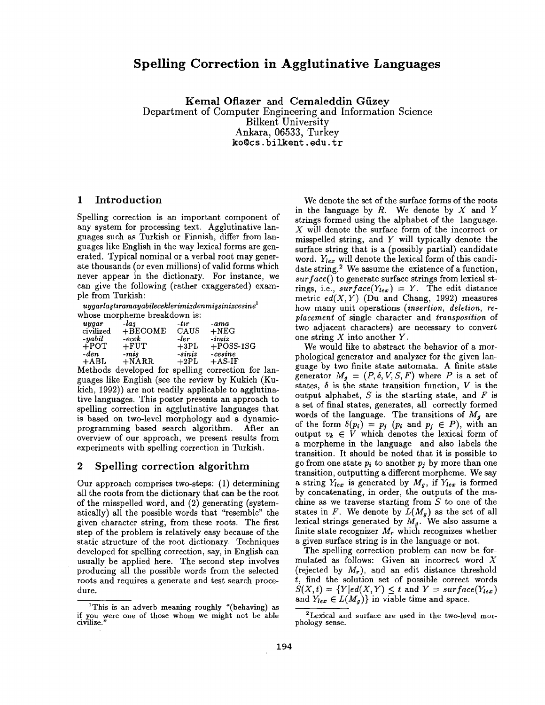# **Spelling Correction in Agglutinative Languages**

Kemal Oflazer and Cemaleddin Güzey Department of Computer Engineering and Information Science Bilkent University Ankara, 06533, Turkey ko@cs, bilkent, edu. tr

#### 1 Introduction

Spelling correction is an important component of any system for processing text. Agglutinative languages such as Turkish or Finnish, differ from languages like English in the way lexical forms are generated. Typical nominal or a verbal root may generate thousands (or even millions) of valid forms which never appear in the dictionary. For instance, we can give the following (rather exaggerated) example from Turkish:

 $\emph{uu}$ garlastıramayabileceklerimizdenmissinizcesine  $^1$ whose morpheme breakdown is:

| uygar        | -las             | -tır      | -ama         |
|--------------|------------------|-----------|--------------|
| civilized    | $+BECOME$        | CAUS      | $+NEG$       |
| -yabil       | $\textit{-ecek}$ | -ler      | $-imiz$      |
| $+$ POT      | $+$ FUT          | $+3PL$    | $+$ POSS-1SG |
| -den         | $-mis$           | $-sini z$ | $-cosine$    |
| $+{\rm ABL}$ | $+NARR$          | $+2PL$    | $+$ AS-IF    |

Methods developed for spelling correction for languages like English (see the review by Kukich (Kukich, 1992)) are not readily applicable to agglutinative languages. This poster presents an approach to spelling correction in agglutinative languages that is based on two-level morphology and a dynamicprogramming based search algorithm. After an overview of our approach, we present results from experiments with spelling correction in Turkish.

#### 2 Spelling correction algorithm

Our approach comprises two-steps: (1) determining all the roots from the dictionary that can be the root of the misspelled word, and (2) generating (systematically) all the possible words that "resemble" the given character string, from these roots. The first step of the problem is relatively easy because of the static structure of the root dictionary. Techniques developed for spelling correction, say, in English can usually be applied here. The second step involves producing all the possible words from the selected roots and requires a generate and test search procedure.

We denote the set of the surface forms of the roots in the language by  $R$ . We denote by  $X$  and  $Y$ strings formed using the alphabet of the language. X will denote the surface form of the incorrect or misspelled string, and Y will typically denote the surface string that is a (possibly partial) candidate word.  $Y_{lex}$  will denote the lexical form of this candidate string? We assume the existence of a function, *surface()* to generate surface strings from lexical strings, i.e.,  $surface(Y_{lex}) = Y$ . The edit distance metric  $ed(X, Y)$  (Du and Chang, 1992) measures how many unit operations *(insertion, deletion, replacement* of single character and *transposition* of two adjacent characters) are necessary to convert one string  $X$  into another  $Y$ .

We would like to abstract the behavior of a morphological generator and analyzer for the given language by two finite state automata. A finite state generator  $M_g = (P, \delta, V, S, F)$  where P is a set of states,  $\delta$  is the state transition function, V is the output alphabet,  $S$  is the starting state, and  $F$  is a set of final states, generates, all correctly formed words of the language. The transitions of  $M<sub>g</sub>$  are of the form  $\delta(p_i) = p_j$  ( $p_i$  and  $p_j \in P$ ), with an output  $v_k \in V$  which denotes the lexical form of a morpheme in the language and also labels the transition. It should be noted that it is possible to go from one state  $p_i$  to another  $p_j$  by more than one transition, outputting a different morpheme. We say a string  $Y_{lex}$  is generated by  $M_g$ , if  $Y_{lex}$  is formed by concatenating, in order, the outputs of the machine as we traverse starting from  $S$  to one of the states in F. We denote by  $L(M_g)$  as the set of all lexical strings generated by  $M_g$ . We also assume a finite state recognizer  $M_r$  which recognizes whether a given surface string is in the language or not.

The spelling correction problem can now be formulated as follows: Given an incorrect word X (rejected by  $M_r$ ), and an edit distance threshold t, find the solution set of possible correct words  $S(X,t) = \{Y|ed(X,Y) \leq t \text{ and } Y = surface(Y_{lex})\}$ and  $Y_{lex} \in L(M_q)$  in viable time and space.

<sup>&</sup>lt;sup>1</sup>This is an adverb meaning roughly "(behaving) as if you were one of those whom we **might not** be able civilize."

<sup>2</sup>Lexical and surface are used in the two-level morphology sense.